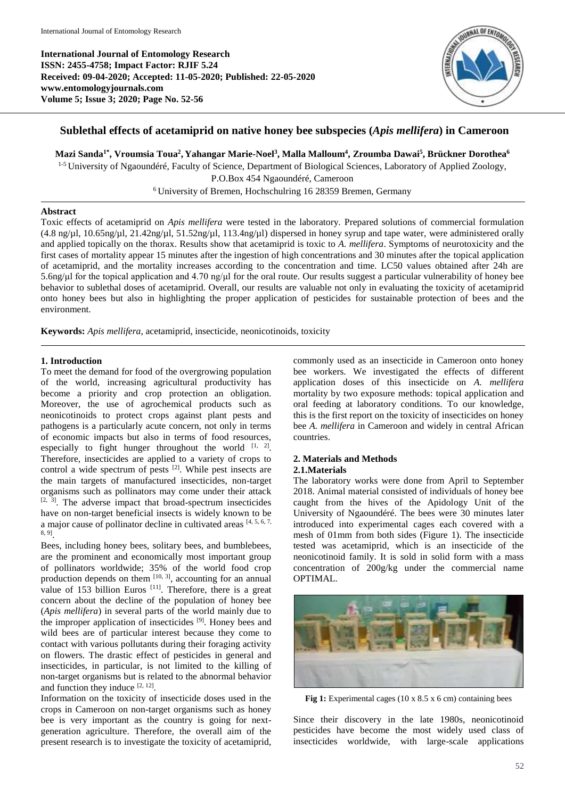**International Journal of Entomology Research ISSN: 2455-4758; Impact Factor: RJIF 5.24 Received: 09-04-2020; Accepted: 11-05-2020; Published: 22-05-2020 www.entomologyjournals.com Volume 5; Issue 3; 2020; Page No. 52-56**



# **Sublethal effects of acetamiprid on native honey bee subspecies (***Apis mellifera***) in Cameroon**

**Mazi Sanda1\* , Vroumsia Toua 2 , Yahangar Marie-Noel<sup>3</sup> , Malla Malloum<sup>4</sup> , Zroumba Dawai 5 , Brückner Dorothea<sup>6</sup>**

<sup>1-5</sup> University of Ngaoundéré, Faculty of Science, Department of Biological Sciences, Laboratory of Applied Zoology, P.O.Box 454 Ngaoundéré, Cameroon <sup>6</sup> University of Bremen, Hochschulring 16 28359 Bremen, Germany

# **Abstract**

Toxic effects of acetamiprid on *Apis mellifera* were tested in the laboratory. Prepared solutions of commercial formulation (4.8 ng/µl, 10.65ng/µl, 21.42ng/µl, 51.52ng/µl, 113.4ng/µl) dispersed in honey syrup and tape water, were administered orally and applied topically on the thorax. Results show that acetamiprid is toxic to *A. mellifera*. Symptoms of neurotoxicity and the first cases of mortality appear 15 minutes after the ingestion of high concentrations and 30 minutes after the topical application of acetamiprid, and the mortality increases according to the concentration and time. LC50 values obtained after 24h are 5.6ng/μl for the topical application and 4.70 ng/μl for the oral route. Our results suggest a particular vulnerability of honey bee behavior to sublethal doses of acetamiprid. Overall, our results are valuable not only in evaluating the toxicity of acetamiprid onto honey bees but also in highlighting the proper application of pesticides for sustainable protection of bees and the environment.

**Keywords:** *Apis mellifera*, acetamiprid, insecticide, neonicotinoids, toxicity

## **1. Introduction**

To meet the demand for food of the overgrowing population of the world, increasing agricultural productivity has become a priority and crop protection an obligation. Moreover, the use of agrochemical products such as neonicotinoids to protect crops against plant pests and pathogens is a particularly acute concern, not only in terms of economic impacts but also in terms of food resources, especially to fight hunger throughout the world  $[1, 2]$ . Therefore, insecticides are applied to a variety of crops to control a wide spectrum of pests  $[2]$ . While pest insects are the main targets of manufactured insecticides, non-target organisms such as pollinators may come under their attack  $[2, 3]$ . The adverse impact that broad-spectrum insecticides have on non-target beneficial insects is widely known to be a major cause of pollinator decline in cultivated areas [4, 5, 6, 7, 8, 9] .

Bees, including honey bees, solitary bees, and bumblebees, are the prominent and economically most important group of pollinators worldwide; 35% of the world food crop production depends on them  $[10, 3]$ , accounting for an annual value of 153 billion Euros  $[11]$ . Therefore, there is a great concern about the decline of the population of honey bee (*Apis mellifera*) in several parts of the world mainly due to the improper application of insecticides [9]. Honey bees and wild bees are of particular interest because they come to contact with various pollutants during their foraging activity on flowers. The drastic effect of pesticides in general and insecticides, in particular, is not limited to the killing of non-target organisms but is related to the abnormal behavior and function they induce  $[2, 12]$ .

Information on the toxicity of insecticide doses used in the crops in Cameroon on non-target organisms such as honey bee is very important as the country is going for nextgeneration agriculture. Therefore, the overall aim of the present research is to investigate the toxicity of acetamiprid, commonly used as an insecticide in Cameroon onto honey bee workers. We investigated the effects of different application doses of this insecticide on *A. mellifera* mortality by two exposure methods: topical application and oral feeding at laboratory conditions. To our knowledge, this is the first report on the toxicity of insecticides on honey bee *A. mellifera* in Cameroon and widely in central African countries.

# **2. Materials and Methods**

# **2.1.Materials**

The laboratory works were done from April to September 2018. Animal material consisted of individuals of honey bee caught from the hives of the Apidology Unit of the University of Ngaoundéré. The bees were 30 minutes later introduced into experimental cages each covered with a mesh of 01mm from both sides (Figure 1). The insecticide tested was acetamiprid, which is an insecticide of the neonicotinoid family. It is sold in solid form with a mass concentration of 200g/kg under the commercial name OPTIMAL.



Fig 1: Experimental cages (10 x 8.5 x 6 cm) containing bees

Since their discovery in the late 1980s, neonicotinoid pesticides have become the most widely used class of insecticides worldwide, with large-scale applications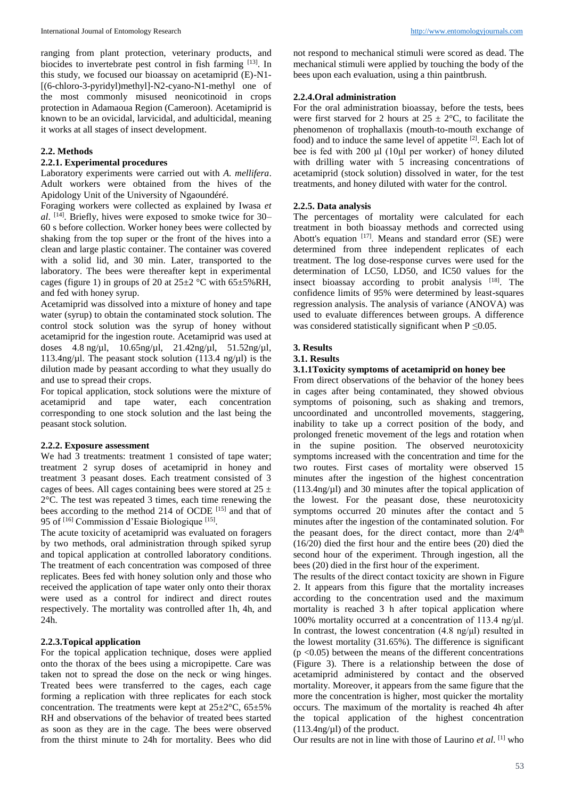ranging from plant protection, veterinary products, and biocides to invertebrate pest control in fish farming [13]. In this study, we focused our bioassay on acetamiprid (E)-N1- [(6-chloro-3-pyridyl)methyl]-N2-cyano-N1-methyl one of the most commonly misused neonicotinoid in crops protection in Adamaoua Region (Cameroon). Acetamiprid is known to be an ovicidal, larvicidal, and adulticidal, meaning it works at all stages of insect development.

### **2.2. Methods**

# **2.2.1. Experimental procedures**

Laboratory experiments were carried out with *A. mellifera*. Adult workers were obtained from the hives of the Apidology Unit of the University of Ngaoundéré.

Foraging workers were collected as explained by Iwasa *et al*. [14] . Briefly, hives were exposed to smoke twice for 30– 60 s before collection. Worker honey bees were collected by shaking from the top super or the front of the hives into a clean and large plastic container. The container was covered with a solid lid, and 30 min. Later, transported to the laboratory. The bees were thereafter kept in experimental cages (figure 1) in groups of 20 at  $25\pm2$  °C with  $65\pm5\%$  RH, and fed with honey syrup.

Acetamiprid was dissolved into a mixture of honey and tape water (syrup) to obtain the contaminated stock solution. The control stock solution was the syrup of honey without acetamiprid for the ingestion route. Acetamiprid was used at doses 4.8 ng/µl, 10.65ng/µl, 21.42ng/µl, 51.52ng/µl, 113.4ng/ $\mu$ l. The peasant stock solution (113.4 ng/ $\mu$ l) is the dilution made by peasant according to what they usually do and use to spread their crops.

For topical application, stock solutions were the mixture of acetamiprid and tape water, each concentration corresponding to one stock solution and the last being the peasant stock solution.

#### **2.2.2. Exposure assessment**

We had 3 treatments: treatment 1 consisted of tape water; treatment 2 syrup doses of acetamiprid in honey and treatment 3 peasant doses. Each treatment consisted of 3 cages of bees. All cages containing bees were stored at  $25 \pm$ 2°C. The test was repeated 3 times, each time renewing the bees according to the method 214 of OCDE<sup>[15]</sup> and that of 95 of <sup>[16]</sup> Commission d'Essaie Biologique <sup>[15]</sup>.

The acute toxicity of acetamiprid was evaluated on foragers by two methods, oral administration through spiked syrup and topical application at controlled laboratory conditions. The treatment of each concentration was composed of three replicates. Bees fed with honey solution only and those who received the application of tape water only onto their thorax were used as a control for indirect and direct routes respectively. The mortality was controlled after 1h, 4h, and 24h.

## **2.2.3.Topical application**

For the topical application technique, doses were applied onto the thorax of the bees using a micropipette. Care was taken not to spread the dose on the neck or wing hinges. Treated bees were transferred to the cages, each cage forming a replication with three replicates for each stock concentration. The treatments were kept at  $25\pm2\degree C$ ,  $65\pm5\%$ RH and observations of the behavior of treated bees started as soon as they are in the cage. The bees were observed from the thirst minute to 24h for mortality. Bees who did

not respond to mechanical stimuli were scored as dead. The mechanical stimuli were applied by touching the body of the bees upon each evaluation, using a thin paintbrush.

### **2.2.4.Oral administration**

For the oral administration bioassay, before the tests, bees were first starved for 2 hours at  $25 \pm 2$ °C, to facilitate the phenomenon of trophallaxis (mouth-to-mouth exchange of food) and to induce the same level of appetite <sup>[2]</sup>. Each lot of bee is fed with 200 μl (10μl per worker) of honey diluted with drilling water with 5 increasing concentrations of acetamiprid (stock solution) dissolved in water, for the test treatments, and honey diluted with water for the control.

### **2.2.5. Data analysis**

The percentages of mortality were calculated for each treatment in both bioassay methods and corrected using Abott's equation  $[17]$ . Means and standard error (SE) were determined from three independent replicates of each treatment. The log dose-response curves were used for the determination of LC50, LD50, and IC50 values for the insect bioassay according to probit analysis [18]. The confidence limits of 95% were determined by least-squares regression analysis. The analysis of variance (ANOVA) was used to evaluate differences between groups. A difference was considered statistically significant when  $P \le 0.05$ .

# **3. Results**

# **3.1. Results**

### **3.1.1Toxicity symptoms of acetamiprid on honey bee**

From direct observations of the behavior of the honey bees in cages after being contaminated, they showed obvious symptoms of poisoning, such as shaking and tremors, uncoordinated and uncontrolled movements, staggering, inability to take up a correct position of the body, and prolonged frenetic movement of the legs and rotation when in the supine position. The observed neurotoxicity symptoms increased with the concentration and time for the two routes. First cases of mortality were observed 15 minutes after the ingestion of the highest concentration  $(113.4$ ng/ $\mu$ l) and 30 minutes after the topical application of the lowest. For the peasant dose, these neurotoxicity symptoms occurred 20 minutes after the contact and 5 minutes after the ingestion of the contaminated solution. For the peasant does, for the direct contact, more than  $2/4<sup>th</sup>$ (16/20) died the first hour and the entire bees (20) died the second hour of the experiment. Through ingestion, all the bees (20) died in the first hour of the experiment.

The results of the direct contact toxicity are shown in Figure 2. It appears from this figure that the mortality increases according to the concentration used and the maximum mortality is reached 3 h after topical application where 100% mortality occurred at a concentration of 113.4 ng/μl. In contrast, the lowest concentration  $(4.8 \text{ ng/µl})$  resulted in the lowest mortality (31.65%). The difference is significant  $(p \le 0.05)$  between the means of the different concentrations (Figure 3). There is a relationship between the dose of acetamiprid administered by contact and the observed mortality. Moreover, it appears from the same figure that the more the concentration is higher, most quicker the mortality occurs. The maximum of the mortality is reached 4h after the topical application of the highest concentration  $(113.4$ ng/ $\mu$ l) of the product.

Our results are not in line with those of Laurino *et al*. [1] who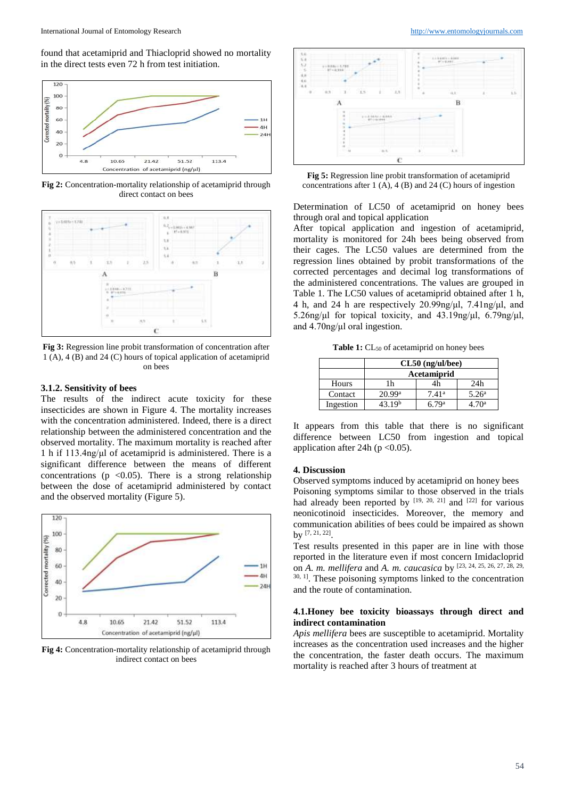found that acetamiprid and Thiacloprid showed no mortality in the direct tests even 72 h from test initiation.



**Fig 2:** Concentration-mortality relationship of acetamiprid through direct contact on bees



**Fig 3:** Regression line probit transformation of concentration after 1 (A), 4 (B) and 24 (C) hours of topical application of acetamiprid on bees

# **3.1.2. Sensitivity of bees**

The results of the indirect acute toxicity for these insecticides are shown in Figure 4. The mortality increases with the concentration administered. Indeed, there is a direct relationship between the administered concentration and the observed mortality. The maximum mortality is reached after 1 h if 113.4ng/μl of acetamiprid is administered. There is a significant difference between the means of different concentrations ( $p \le 0.05$ ). There is a strong relationship between the dose of acetamiprid administered by contact and the observed mortality (Figure 5).



**Fig 4:** Concentration-mortality relationship of acetamiprid through indirect contact on bees



**Fig 5:** Regression line probit transformation of acetamiprid concentrations after 1 (A), 4 (B) and 24 (C) hours of ingestion

Determination of LC50 of acetamiprid on honey bees through oral and topical application

After topical application and ingestion of acetamiprid, mortality is monitored for 24h bees being observed from their cages. The LC50 values are determined from the regression lines obtained by probit transformations of the corrected percentages and decimal log transformations of the administered concentrations. The values are grouped in Table 1. The LC50 values of acetamiprid obtained after 1 h, 4 h, and 24 h are respectively 20.99ng/μl, 7.41ng/μl, and 5.26ng/μl for topical toxicity, and 43.19ng/μl, 6.79ng/μl, and 4.70ng/μl oral ingestion.

Table 1: CL<sub>50</sub> of acetamiprid on honey bees

|           | $CL50$ (ng/ul/bee)   |                |                   |
|-----------|----------------------|----------------|-------------------|
|           | Acetamiprid          |                |                   |
| Hours     | 1h                   | 4h             | 24h               |
| Contact   | $20.99$ <sup>a</sup> | $7.41^{\rm a}$ | 5.26 <sup>a</sup> |
| Ingestion | 43.19 <sup>b</sup>   | 6.79ª          | 4 70ª             |

It appears from this table that there is no significant difference between LC50 from ingestion and topical application after 24h ( $p < 0.05$ ).

### **4. Discussion**

Observed symptoms induced by acetamiprid on honey bees Poisoning symptoms similar to those observed in the trials had already been reported by  $[19, 20, 21]$  and  $[22]$  for various neonicotinoid insecticides. Moreover, the memory and communication abilities of bees could be impaired as shown by [7, 21, 22] .

Test results presented in this paper are in line with those reported in the literature even if most concern Imidacloprid on *A. m. mellifera* and *A. m. caucasica* by [23, 24, 25, 26, 27, 28, 29, <sup>30, 1</sup>. These poisoning symptoms linked to the concentration and the route of contamination.

### **4.1.Honey bee toxicity bioassays through direct and indirect contamination**

*Apis mellifera* bees are susceptible to acetamiprid. Mortality increases as the concentration used increases and the higher the concentration, the faster death occurs. The maximum mortality is reached after 3 hours of treatment at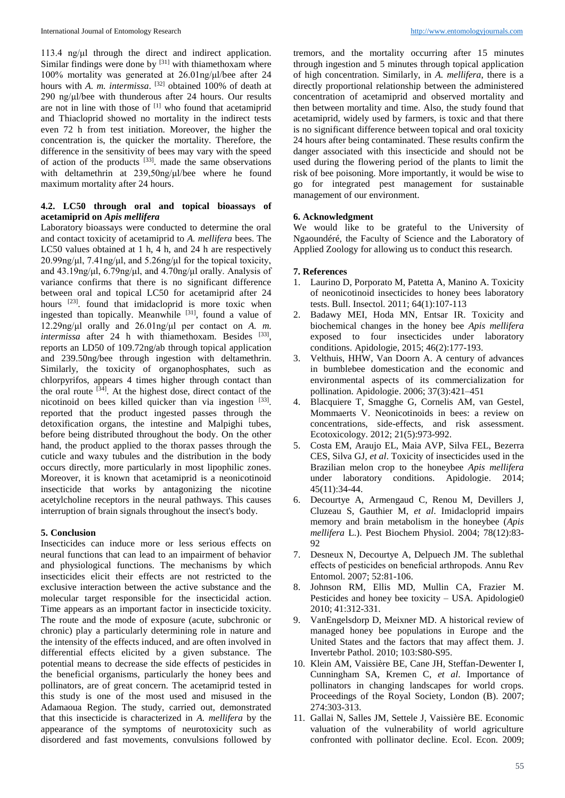113.4 ng/μl through the direct and indirect application. Similar findings were done by  $[31]$  with thiamethoxam where 100% mortality was generated at 26.01ng/μl/bee after 24 hours with *A. m. intermissa*. [32] obtained 100% of death at 290 ng/μl/bee with thunderous after 24 hours. Our results are not in line with those of [1] who found that acetamiprid and Thiacloprid showed no mortality in the indirect tests even 72 h from test initiation. Moreover, the higher the concentration is, the quicker the mortality. Therefore, the difference in the sensitivity of bees may vary with the speed of action of the products  $[33]$ . made the same observations with deltamethrin at 239,50ng/μl/bee where he found maximum mortality after 24 hours.

# **4.2. LC50 through oral and topical bioassays of acetamiprid on** *Apis mellifera*

Laboratory bioassays were conducted to determine the oral and contact toxicity of acetamiprid to *A. mellifera* bees. The LC50 values obtained at 1 h, 4 h, and 24 h are respectively 20.99ng/μl, 7.41ng/μl, and 5.26ng/μl for the topical toxicity, and 43.19ng/μl, 6.79ng/μl, and 4.70ng/μl orally. Analysis of variance confirms that there is no significant difference between oral and topical LC50 for acetamiprid after 24 hours <sup>[23]</sup>. found that imidacloprid is more toxic when ingested than topically. Meanwhile <sup>[31]</sup>, found a value of 12.29ng/μl orally and 26.01ng/μl per contact on *A. m. intermissa* after 24 h with thiamethoxam. Besides <sup>[33]</sup>, reports an LD50 of 109.72ng/ab through topical application and 239.50ng/bee through ingestion with deltamethrin. Similarly, the toxicity of organophosphates, such as chlorpyrifos, appears 4 times higher through contact than the oral route <sup>[34]</sup>. At the highest dose, direct contact of the nicotinoid on bees killed quicker than via ingestion [33]. reported that the product ingested passes through the detoxification organs, the intestine and Malpighi tubes, before being distributed throughout the body. On the other hand, the product applied to the thorax passes through the cuticle and waxy tubules and the distribution in the body occurs directly, more particularly in most lipophilic zones. Moreover, it is known that acetamiprid is a neonicotinoid insecticide that works by antagonizing the nicotine acetylcholine receptors in the neural pathways. This causes interruption of brain signals throughout the insect's body.

### **5. Conclusion**

Insecticides can induce more or less serious effects on neural functions that can lead to an impairment of behavior and physiological functions. The mechanisms by which insecticides elicit their effects are not restricted to the exclusive interaction between the active substance and the molecular target responsible for the insecticidal action. Time appears as an important factor in insecticide toxicity. The route and the mode of exposure (acute, subchronic or chronic) play a particularly determining role in nature and the intensity of the effects induced, and are often involved in differential effects elicited by a given substance. The potential means to decrease the side effects of pesticides in the beneficial organisms, particularly the honey bees and pollinators, are of great concern. The acetamiprid tested in this study is one of the most used and misused in the Adamaoua Region. The study, carried out, demonstrated that this insecticide is characterized in *A. mellifera* by the appearance of the symptoms of neurotoxicity such as disordered and fast movements, convulsions followed by

tremors, and the mortality occurring after 15 minutes through ingestion and 5 minutes through topical application of high concentration. Similarly, in *A. mellifera*, there is a directly proportional relationship between the administered concentration of acetamiprid and observed mortality and then between mortality and time. Also, the study found that acetamiprid, widely used by farmers, is toxic and that there is no significant difference between topical and oral toxicity 24 hours after being contaminated. These results confirm the danger associated with this insecticide and should not be used during the flowering period of the plants to limit the risk of bee poisoning. More importantly, it would be wise to go for integrated pest management for sustainable management of our environment.

### **6. Acknowledgment**

We would like to be grateful to the University of Ngaoundéré, the Faculty of Science and the Laboratory of Applied Zoology for allowing us to conduct this research.

### **7. References**

- 1. Laurino D, Porporato M, Patetta A, Manino A. Toxicity of neonicotinoid insecticides to honey bees laboratory tests. Bull. Insectol. 2011; 64(1):107-113
- 2. Badawy MEI, Hoda MN, Entsar IR. Toxicity and biochemical changes in the honey bee *Apis mellifera* exposed to four insecticides under laboratory conditions. Apidologie, 2015; 46(2):177-193.
- 3. Velthuis, HHW, Van Doorn A. A century of advances in bumblebee domestication and the economic and environmental aspects of its commercialization for pollination. Apidologie. 2006; 37(3):421–451
- 4. Blacquiere T, Smagghe G, Cornelis AM, van Gestel, Mommaerts V. Neonicotinoids in bees: a review on concentrations, side-effects, and risk assessment. Ecotoxicology. 2012; 21(5):973-992.
- 5. Costa EM, Araujo EL, Maia AVP, Silva FEL, Bezerra CES, Silva GJ, *et al*. Toxicity of insecticides used in the Brazilian melon crop to the honeybee *Apis mellifera* under laboratory conditions. Apidologie. 2014; 45(11):34-44.
- 6. Decourtye A, Armengaud C, Renou M, Devillers J, Cluzeau S, Gauthier M, *et al*. Imidacloprid impairs memory and brain metabolism in the honeybee (*Apis mellifera* L.). Pest Biochem Physiol. 2004; 78(12):83- 92
- 7. Desneux N, Decourtye A, Delpuech JM. The sublethal effects of pesticides on beneficial arthropods. Annu Rev Entomol. 2007; 52:81-106.
- 8. Johnson RM, Ellis MD, Mullin CA, Frazier M. Pesticides and honey bee toxicity – USA. Apidologie0 2010; 41:312-331.
- 9. VanEngelsdorp D, Meixner MD. A historical review of managed honey bee populations in Europe and the United States and the factors that may affect them. J. Invertebr Pathol. 2010; 103:S80-S95.
- 10. Klein AM, Vaissière BE, Cane JH, Steffan-Dewenter I, Cunningham SA, Kremen C, *et al*. Importance of pollinators in changing landscapes for world crops. Proceedings of the Royal Society, London (B). 2007; 274:303-313.
- 11. Gallai N, Salles JM, Settele J, Vaissière BE. Economic valuation of the vulnerability of world agriculture confronted with pollinator decline. Ecol. Econ. 2009;